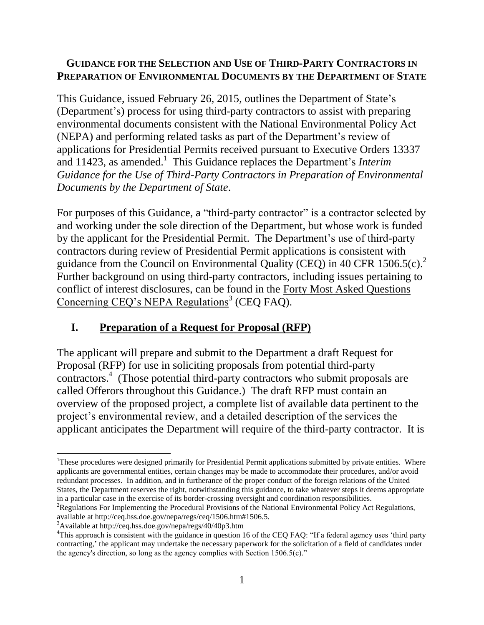#### **GUIDANCE FOR THE SELECTION AND USE OF THIRD-PARTY CONTRACTORS IN PREPARATION OF ENVIRONMENTAL DOCUMENTS BY THE DEPARTMENT OF STATE**

This Guidance, issued February 26, 2015, outlines the Department of State's (Department's) process for using third-party contractors to assist with preparing environmental documents consistent with the National Environmental Policy Act (NEPA) and performing related tasks as part of the Department's review of applications for Presidential Permits received pursuant to Executive Orders 13337 and 11423, as amended.<sup>1</sup> This Guidance replaces the Department's *Interim Guidance for the Use of Third-Party Contractors in Preparation of Environmental Documents by the Department of State*.

For purposes of this Guidance, a "third-party contractor" is a contractor selected by and working under the sole direction of the Department, but whose work is funded by the applicant for the Presidential Permit. The Department's use of third-party contractors during review of Presidential Permit applications is consistent with guidance from the Council on Environmental Quality (CEQ) in 40 CFR 1506.5(c).<sup>2</sup> Further background on using third-party contractors, including issues pertaining to conflict of interest disclosures, can be found in the Forty Most Asked Questions Concerning CEQ's NEPA Regulations<sup>3</sup> (CEQ FAQ).

## **I. Preparation of a Request for Proposal (RFP)**

The applicant will prepare and submit to the Department a draft Request for Proposal (RFP) for use in soliciting proposals from potential third-party contractors. 4 (Those potential third-party contractors who submit proposals are called Offerors throughout this Guidance.) The draft RFP must contain an overview of the proposed project, a complete list of available data pertinent to the project's environmental review, and a detailed description of the services the applicant anticipates the Department will require of the third-party contractor. It is

 $\overline{a}$ <sup>1</sup>These procedures were designed primarily for Presidential Permit applications submitted by private entities. Where applicants are governmental entities, certain changes may be made to accommodate their procedures, and/or avoid redundant processes. In addition, and in furtherance of the proper conduct of the foreign relations of the United States, the Department reserves the right, notwithstanding this guidance, to take whatever steps it deems appropriate in a particular case in the exercise of its border-crossing oversight and coordination responsibilities.

<sup>&</sup>lt;sup>2</sup>Regulations For Implementing the Procedural Provisions of the National Environmental Policy Act Regulations, available at http://ceq.hss.doe.gov/nepa/regs/ceq/1506.htm#1506.5.

<sup>3</sup>Available at http://ceq.hss.doe.gov/nepa/regs/40/40p3.htm

<sup>&</sup>lt;sup>4</sup>This approach is consistent with the guidance in question 16 of the CEO FAO: "If a federal agency uses 'third party contracting,' the applicant may undertake the necessary paperwork for the solicitation of a field of candidates under the agency's direction, so long as the agency complies with Section 1506.5(c)."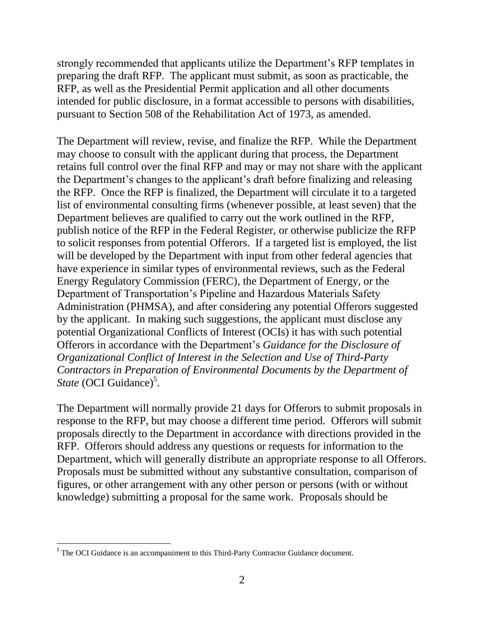strongly recommended that applicants utilize the Department's RFP templates in preparing the draft RFP. The applicant must submit, as soon as practicable, the RFP, as well as the Presidential Permit application and all other documents intended for public disclosure, in a format accessible to persons with disabilities, pursuant to Section 508 of the Rehabilitation Act of 1973, as amended.

The Department will review, revise, and finalize the RFP. While the Department may choose to consult with the applicant during that process, the Department retains full control over the final RFP and may or may not share with the applicant the Department's changes to the applicant's draft before finalizing and releasing the RFP. Once the RFP is finalized, the Department will circulate it to a targeted list of environmental consulting firms (whenever possible, at least seven) that the Department believes are qualified to carry out the work outlined in the RFP, publish notice of the RFP in the Federal Register, or otherwise publicize the RFP to solicit responses from potential Offerors. If a targeted list is employed, the list will be developed by the Department with input from other federal agencies that have experience in similar types of environmental reviews, such as the Federal Energy Regulatory Commission (FERC), the Department of Energy, or the Department of Transportation's Pipeline and Hazardous Materials Safety Administration (PHMSA), and after considering any potential Offerors suggested by the applicant. In making such suggestions, the applicant must disclose any potential Organizational Conflicts of Interest (OCIs) it has with such potential Offerors in accordance with the Department's *Guidance for the Disclosure of Organizational Conflict of Interest in the Selection and Use of Third-Party Contractors in Preparation of Environmental Documents by the Department of*  State (OCI Guidance)<sup>5</sup>.

The Department will normally provide 21 days for Offerors to submit proposals in response to the RFP, but may choose a different time period. Offerors will submit proposals directly to the Department in accordance with directions provided in the RFP. Offerors should address any questions or requests for information to the Department, which will generally distribute an appropriate response to all Offerors. Proposals must be submitted without any substantive consultation, comparison of figures, or other arrangement with any other person or persons (with or without knowledge) submitting a proposal for the same work. Proposals should be

 $\overline{\phantom{a}}$ 

<sup>&</sup>lt;sup>5</sup> The OCI Guidance is an accompaniment to this Third-Party Contractor Guidance document.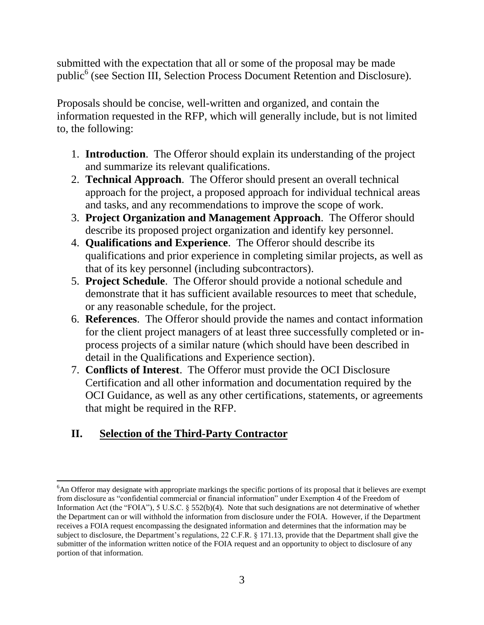submitted with the expectation that all or some of the proposal may be made public<sup>6</sup> (see Section III, Selection Process Document Retention and Disclosure).

Proposals should be concise, well-written and organized, and contain the information requested in the RFP, which will generally include, but is not limited to, the following:

- 1. **Introduction**. The Offeror should explain its understanding of the project and summarize its relevant qualifications.
- 2. **Technical Approach**. The Offeror should present an overall technical approach for the project, a proposed approach for individual technical areas and tasks, and any recommendations to improve the scope of work.
- 3. **Project Organization and Management Approach**. The Offeror should describe its proposed project organization and identify key personnel.
- 4. **Qualifications and Experience**. The Offeror should describe its qualifications and prior experience in completing similar projects, as well as that of its key personnel (including subcontractors).
- 5. **Project Schedule**. The Offeror should provide a notional schedule and demonstrate that it has sufficient available resources to meet that schedule, or any reasonable schedule, for the project.
- 6. **References**. The Offeror should provide the names and contact information for the client project managers of at least three successfully completed or inprocess projects of a similar nature (which should have been described in detail in the Qualifications and Experience section).
- 7. **Conflicts of Interest**. The Offeror must provide the OCI Disclosure Certification and all other information and documentation required by the OCI Guidance, as well as any other certifications, statements, or agreements that might be required in the RFP.

# **II. Selection of the Third-Party Contractor**

l

<sup>6</sup>An Offeror may designate with appropriate markings the specific portions of its proposal that it believes are exempt from disclosure as "confidential commercial or financial information" under Exemption 4 of the Freedom of Information Act (the "FOIA"), 5 U.S.C. § 552(b)(4). Note that such designations are not determinative of whether the Department can or will withhold the information from disclosure under the FOIA. However, if the Department receives a FOIA request encompassing the designated information and determines that the information may be subject to disclosure, the Department's regulations, 22 C.F.R. § 171.13, provide that the Department shall give the submitter of the information written notice of the FOIA request and an opportunity to object to disclosure of any portion of that information.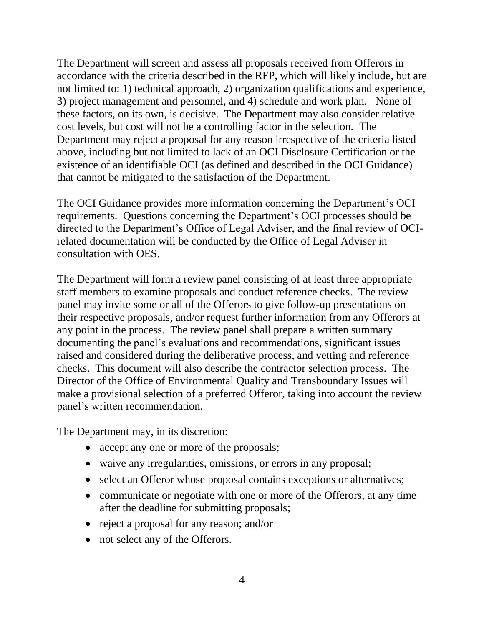The Department will screen and assess all proposals received from Offerors in accordance with the criteria described in the RFP, which will likely include, but are not limited to: 1) technical approach, 2) organization qualifications and experience, 3) project management and personnel, and 4) schedule and work plan. None of these factors, on its own, is decisive. The Department may also consider relative cost levels, but cost will not be a controlling factor in the selection. The Department may reject a proposal for any reason irrespective of the criteria listed above, including but not limited to lack of an OCI Disclosure Certification or the existence of an identifiable OCI (as defined and described in the OCI Guidance) that cannot be mitigated to the satisfaction of the Department.

The OCI Guidance provides more information concerning the Department's OCI requirements. Questions concerning the Department's OCI processes should be directed to the Department's Office of Legal Adviser, and the final review of OCIrelated documentation will be conducted by the Office of Legal Adviser in consultation with OES.

The Department will form a review panel consisting of at least three appropriate staff members to examine proposals and conduct reference checks. The review panel may invite some or all of the Offerors to give follow-up presentations on their respective proposals, and/or request further information from any Offerors at any point in the process. The review panel shall prepare a written summary documenting the panel's evaluations and recommendations, significant issues raised and considered during the deliberative process, and vetting and reference checks. This document will also describe the contractor selection process. The Director of the Office of Environmental Quality and Transboundary Issues will make a provisional selection of a preferred Offeror, taking into account the review panel's written recommendation.

The Department may, in its discretion:

- accept any one or more of the proposals;
- waive any irregularities, omissions, or errors in any proposal;
- select an Offeror whose proposal contains exceptions or alternatives;
- communicate or negotiate with one or more of the Offerors, at any time after the deadline for submitting proposals;
- reject a proposal for any reason; and/or
- not select any of the Offerors.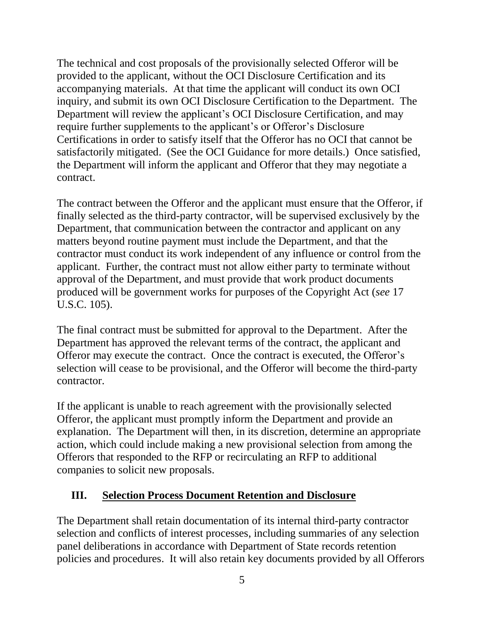The technical and cost proposals of the provisionally selected Offeror will be provided to the applicant, without the OCI Disclosure Certification and its accompanying materials. At that time the applicant will conduct its own OCI inquiry, and submit its own OCI Disclosure Certification to the Department. The Department will review the applicant's OCI Disclosure Certification, and may require further supplements to the applicant's or Offeror's Disclosure Certifications in order to satisfy itself that the Offeror has no OCI that cannot be satisfactorily mitigated. (See the OCI Guidance for more details.) Once satisfied, the Department will inform the applicant and Offeror that they may negotiate a contract.

The contract between the Offeror and the applicant must ensure that the Offeror, if finally selected as the third-party contractor, will be supervised exclusively by the Department, that communication between the contractor and applicant on any matters beyond routine payment must include the Department, and that the contractor must conduct its work independent of any influence or control from the applicant. Further, the contract must not allow either party to terminate without approval of the Department, and must provide that work product documents produced will be government works for purposes of the Copyright Act (*see* 17 U.S.C. 105).

The final contract must be submitted for approval to the Department. After the Department has approved the relevant terms of the contract, the applicant and Offeror may execute the contract. Once the contract is executed, the Offeror's selection will cease to be provisional, and the Offeror will become the third-party contractor.

If the applicant is unable to reach agreement with the provisionally selected Offeror, the applicant must promptly inform the Department and provide an explanation. The Department will then, in its discretion, determine an appropriate action, which could include making a new provisional selection from among the Offerors that responded to the RFP or recirculating an RFP to additional companies to solicit new proposals.

## **III. Selection Process Document Retention and Disclosure**

The Department shall retain documentation of its internal third-party contractor selection and conflicts of interest processes, including summaries of any selection panel deliberations in accordance with Department of State records retention policies and procedures. It will also retain key documents provided by all Offerors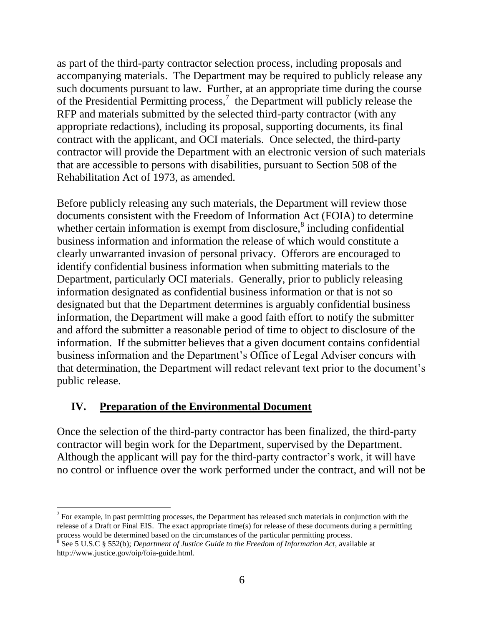as part of the third-party contractor selection process, including proposals and accompanying materials. The Department may be required to publicly release any such documents pursuant to law. Further, at an appropriate time during the course of the Presidential Permitting process, $\frac{7}{1}$  the Department will publicly release the RFP and materials submitted by the selected third-party contractor (with any appropriate redactions), including its proposal, supporting documents, its final contract with the applicant, and OCI materials. Once selected, the third-party contractor will provide the Department with an electronic version of such materials that are accessible to persons with disabilities, pursuant to Section 508 of the Rehabilitation Act of 1973, as amended.

Before publicly releasing any such materials, the Department will review those documents consistent with the Freedom of Information Act (FOIA) to determine whether certain information is exempt from disclosure, $\delta$  including confidential business information and information the release of which would constitute a clearly unwarranted invasion of personal privacy. Offerors are encouraged to identify confidential business information when submitting materials to the Department, particularly OCI materials. Generally, prior to publicly releasing information designated as confidential business information or that is not so designated but that the Department determines is arguably confidential business information, the Department will make a good faith effort to notify the submitter and afford the submitter a reasonable period of time to object to disclosure of the information. If the submitter believes that a given document contains confidential business information and the Department's Office of Legal Adviser concurs with that determination, the Department will redact relevant text prior to the document's public release.

### **IV. Preparation of the Environmental Document**

l

Once the selection of the third-party contractor has been finalized, the third-party contractor will begin work for the Department, supervised by the Department. Although the applicant will pay for the third-party contractor's work, it will have no control or influence over the work performed under the contract, and will not be

 $<sup>7</sup>$  For example, in past permitting processes, the Department has released such materials in conjunction with the</sup> release of a Draft or Final EIS. The exact appropriate time(s) for release of these documents during a permitting process would be determined based on the circumstances of the particular permitting process.<br><sup>8</sup> See 5 U.S.C § 552(b); *Department of Justice Guide to the Freedom of Information Act*, available at

http://www.justice.gov/oip/foia-guide.html.